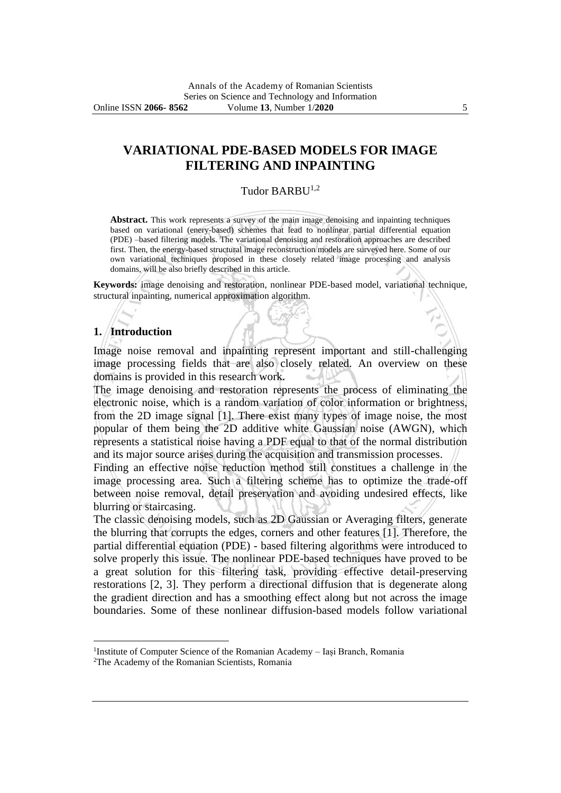# **VARIATIONAL PDE-BASED MODELS FOR IMAGE FILTERING AND INPAINTING**

#### Tudor BARBU<sup>1,2</sup>

**Abstract.** This work represents a survey of the main image denoising and inpainting techniques based on variational (enery-based) schemes that lead to nonlinear partial differential equation (PDE) –based filtering models. The variational denoising and restoration approaches are described first. Then, the energy-based structural image reconstruction models are surveyed here. Some of our own variational techniques proposed in these closely related image processing and analysis domains, will be also briefly described in this article.

**Keywords:** image denoising and restoration, nonlinear PDE-based model, variational technique, structural inpainting, numerical approximation algorithm.

#### **1. Introduction**

Image noise removal and inpainting represent important and still-challenging image processing fields that are also closely related. An overview on these domains is provided in this research work.

The image denoising and restoration represents the process of eliminating the electronic noise, which is a random variation of color information or brightness, from the 2D image signal [1]. There exist many types of image noise, the most popular of them being the 2D additive white Gaussian noise (AWGN), which represents a statistical noise having a PDF equal to that of the normal distribution and its major source arises during the acquisition and transmission processes.

Finding an effective noise reduction method still constitues a challenge in the image processing area. Such a filtering scheme has to optimize the trade-off between noise removal, detail preservation and avoiding undesired effects, like blurring or staircasing.

The classic denoising models, such as 2D Gaussian or Averaging filters, generate the blurring that corrupts the edges, corners and other features [1]. Therefore, the partial differential equation (PDE) - based filtering algorithms were introduced to solve properly this issue. The nonlinear PDE-based techniques have proved to be a great solution for this filtering task, providing effective detail-preserving restorations [2, 3]. They perform a directional diffusion that is degenerate along the gradient direction and has a smoothing effect along but not across the image boundaries. Some of these nonlinear diffusion-based models follow variational

<sup>&</sup>lt;sup>1</sup>Institute of Computer Science of the Romanian Academy - Iași Branch, Romania

<sup>2</sup>The Academy of the Romanian Scientists, Romania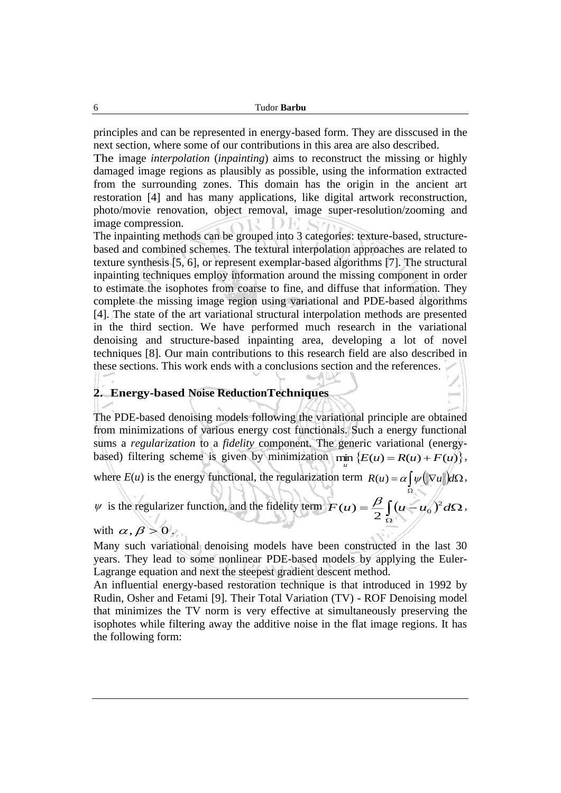principles and can be represented in energy-based form. They are disscused in the next section, where some of our contributions in this area are also described.

The image *interpolation* (*inpainting*) aims to reconstruct the missing or highly damaged image regions as plausibly as possible, using the information extracted from the surrounding zones. This domain has the origin in the ancient art restoration [4] and has many applications, like digital artwork reconstruction, photo/movie renovation, object removal, image super-resolution/zooming and image compression. DE S

The inpainting methods can be grouped into 3 categories: texture-based, structurebased and combined schemes. The textural interpolation approaches are related to texture synthesis [5, 6], or represent exemplar-based algorithms [7]. The structural inpainting techniques employ information around the missing component in order to estimate the isophotes from coarse to fine, and diffuse that information. They complete the missing image region using variational and PDE-based algorithms [4]. The state of the art variational structural interpolation methods are presented in the third section. We have performed much research in the variational denoising and structure-based inpainting area, developing a lot of novel techniques [8]. Our main contributions to this research field are also described in these sections. This work ends with a conclusions section and the references.

### **2. Energy-based Noise ReductionTechniques**

The PDE-based denoising models following the variational principle are obtained from minimizations of various energy cost functionals. Such a energy functional sums a *regularization* to a *fidelity* component. The generic variational (energybased) filtering scheme is given by minimization  $\min \{E(u) = R(u) + F(u)\},\$ 

where  $E(u)$  is the energy functional, the regularization term  $R(u) = \alpha \int \psi(||\nabla u||) d\Omega$  $R(u) = \alpha \int \psi(\|\nabla u\|) d\Omega$ ,

*u*

Ω

 $\psi$  is the regularizer function, and the fidelity term  $F(u) = \frac{\rho}{2} \int (u - u_0)^2 d\Omega$ Ω  $F(u) = \frac{\mu}{\mu} [(u - u_0)^2]$  $(u) = \frac{\beta}{2} \int (u - u_0)^2 d\Omega$ ,

with  $\alpha$ ,  $\beta > 0$ .

Many such variational denoising models have been constructed in the last 30 years. They lead to some nonlinear PDE-based models by applying the Euler-Lagrange equation and next the steepest gradient descent method.

An influential energy-based restoration technique is that introduced in 1992 by Rudin, Osher and Fetami [9]. Their Total Variation (TV) - ROF Denoising model that minimizes the TV norm is very effective at simultaneously preserving the isophotes while filtering away the additive noise in the flat image regions. It has the following form: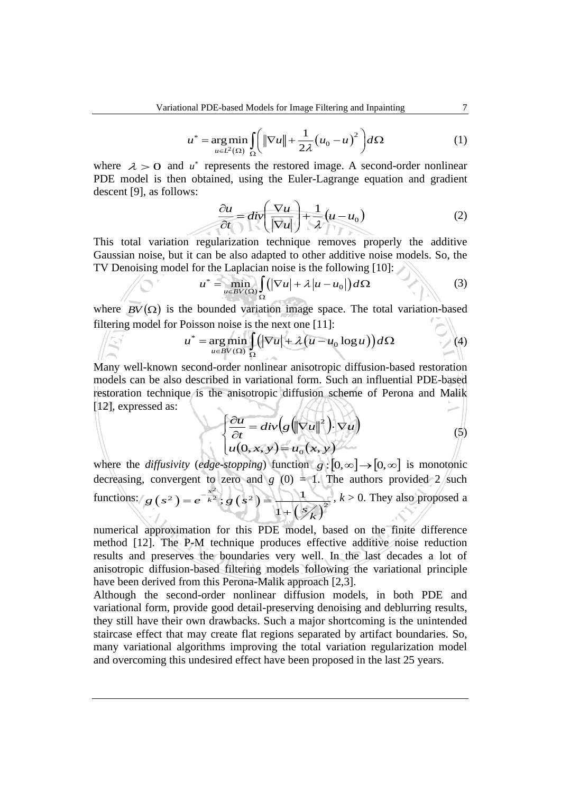$$
u^* = \underset{u \in L^2(\Omega)}{\arg \min} \int_{\Omega} \left( \left\| \nabla u \right\| + \frac{1}{2\lambda} \left( u_0 - u \right)^2 \right) d\Omega \tag{1}
$$

where  $\lambda > 0$  and  $u^*$  represents the restored image. A second-order nonlinear PDE model is then obtained, using the Euler-Lagrange equation and gradient descent [9], as follows:

$$
\frac{\partial u}{\partial t} = div \left( \frac{\nabla u}{|\nabla u|} \right) + \frac{1}{\lambda} (u - u_0)
$$
 (2)

This total variation regularization technique removes properly the additive Gaussian noise, but it can be also adapted to other additive noise models. So, the

TV Denoising model for the Laplacian noise is the following [10]:  
\n
$$
u^* = \min_{u \in BV(\Omega)} \int_{\Omega} (|\nabla u| + \lambda |u - u_0|) d\Omega
$$
\n(3)

where  $BV(\Omega)$  is the bounded variation image space. The total variation-based  $\sim$ filtering model for Poisson noise is the next one [11]:

$$
u^* = \underset{u \in BV(\Omega)}{\arg \min} \int_{\Omega} \Bigl( |\nabla u| + \lambda \bigl( u - u_0 \log u \bigr) \Bigr) d\Omega \tag{4}
$$

Many well-known second-order nonlinear anisotropic diffusion-based restoration models can be also described in variational form. Such an influential PDE-based restoration technique is the anisotropic diffusion scheme of Perona and Malik [12], expressed as: *KALING*  $\geq$   $\mid$ 

$$
\begin{cases} \frac{\partial u}{\partial t} = div(g(\|\nabla u\|^2)) \cdot \nabla u \\ u(0, x, y) = u_0(x, y) \end{cases}
$$
(5)

where the *diffusivity* (*edge-stopping*) function  $g:[0,\infty] \to [0,\infty]$  is monotonic decreasing, convergent to zero and  $g(0) = 1$ . The authors provided 2 such functions:  $g(s^2) = e^{-\frac{z}{k^2}}$ ;  $g(s^2)$  $\binom{s}{k}$ 2 2 2 2 2  $;g(s^2) = \frac{1}{s^2}$ 1  $g(s^2) = e^{-\frac{s^2}{k^2}}$ ;  $g(s^2) = \frac{1}{1 + (s/k)^2}$  $= e^{-k^2}$ ;  $g(s^2)$ +  $, k > 0$ . They also proposed a

numerical approximation for this PDE model, based on the finite difference method [12]. The P-M technique produces effective additive noise reduction results and preserves the boundaries very well. In the last decades a lot of anisotropic diffusion-based filtering models following the variational principle have been derived from this Perona-Malik approach [2,3].

Although the second-order nonlinear diffusion models, in both PDE and variational form, provide good detail-preserving denoising and deblurring results, they still have their own drawbacks. Such a major shortcoming is the unintended staircase effect that may create flat regions separated by artifact boundaries. So, many variational algorithms improving the total variation regularization model and overcoming this undesired effect have been proposed in the last 25 years.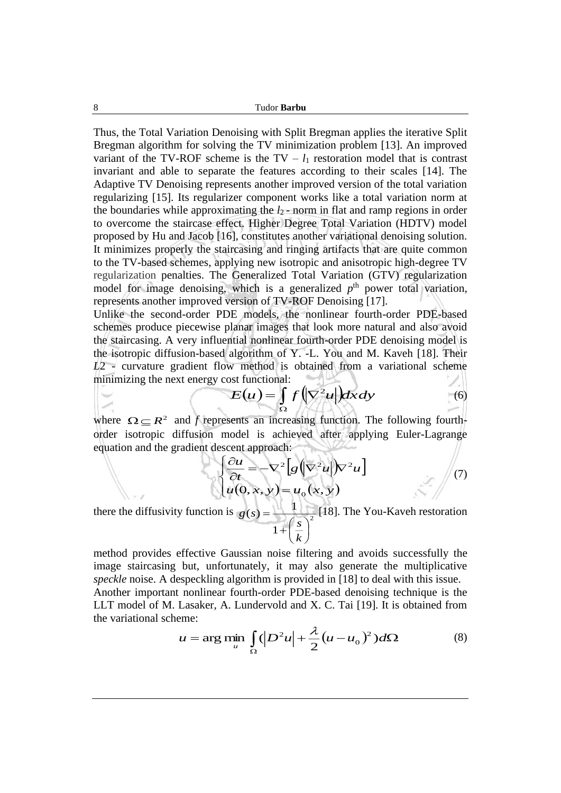Thus, the Total Variation Denoising with Split Bregman applies the iterative Split Bregman algorithm for solving the TV minimization problem [13]. An improved variant of the TV-ROF scheme is the  $TV - l_1$  restoration model that is contrast invariant and able to separate the features according to their scales [14]. The Adaptive TV Denoising represents another improved version of the total variation regularizing [15]. Its regularizer component works like a total variation norm at the boundaries while approximating the  $l_2$ -norm in flat and ramp regions in order to overcome the staircase effect. Higher Degree Total Variation (HDTV) model proposed by Hu and Jacob [16], constitutes another variational denoising solution. It minimizes properly the staircasing and ringing artifacts that are quite common to the TV-based schemes, applying new isotropic and anisotropic high-degree TV regularization penalties. The Generalized Total Variation (GTV) regularization model for image denoising, which is a generalized  $p<sup>th</sup>$  power total variation, represents another improved version of TV-ROF Denoising [17].

Unlike the second-order PDE models, the nonlinear fourth-order PDE-based schemes produce piecewise planar images that look more natural and also avoid the staircasing. A very influential nonlinear fourth-order PDE denoising model is the isotropic diffusion-based algorithm of Y. -L. You and M. Kaveh [18]. Their *L*2 - curvature gradient flow method is obtained from a variational scheme minimizing the next energy cost functional:  $-102$  $\sim$ 

$$
E(u) = \int_{\Omega} f(|\nabla^2 u|) dxdy \tag{6}
$$

where  $\Omega \subseteq R^2$  and *f* represents an increasing function. The following fourthorder isotropic diffusion model is achieved after applying Euler-Lagrange equation and the gradient descent approach:

$$
\begin{cases} \frac{\partial u}{\partial t} = -\nabla^2 \left[ g \left( \nabla^2 u \right) \nabla^2 u \right] \\ u(0, x, y) = u_0(x, y) \end{cases}
$$
(7)

there the diffusivity function is  $g(s) = \frac{1}{(s-2)^2}$ 1  $(s) = \frac{1}{s}$ l  $\overline{\phantom{a}}$  $\left(\frac{s}{t}\right)$ L  $^{+}_{+}$ = *k s*  $g(s) = \frac{1}{s^2}$  [18]. The You-Kaveh restoration

method provides effective Gaussian noise filtering and avoids successfully the image staircasing but, unfortunately, it may also generate the multiplicative *speckle* noise. A despeckling algorithm is provided in [18] to deal with this issue. Another important nonlinear fourth-order PDE-based denoising technique is the LLT model of M. Lasaker, A. Lundervold and X. C. Tai [19]. It is obtained from the variational scheme:

$$
u = \arg\min_{u} \int_{\Omega} (|D^2 u| + \frac{\lambda}{2} (u - u_0)^2) d\Omega \tag{8}
$$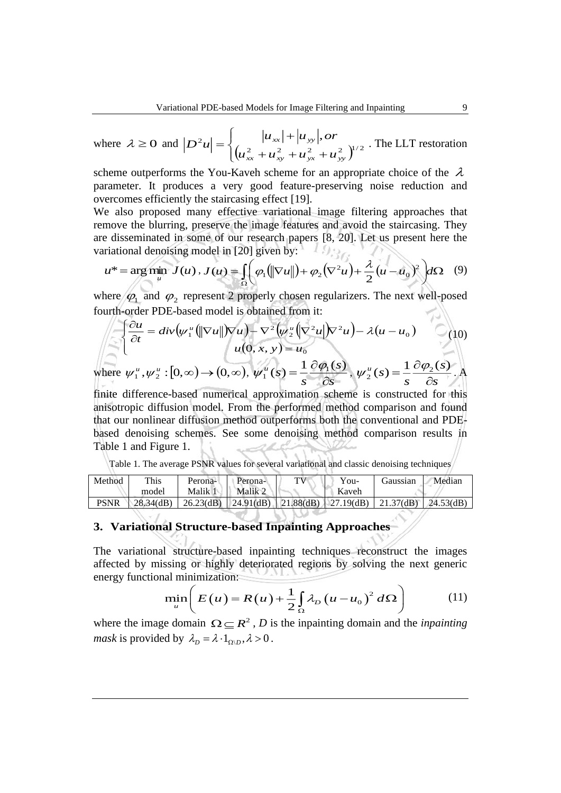where  $\lambda \ge 0$  and  $|D^2 u| = \begin{cases} |x^2 + y^2 + 2y + 2y + 2y + 2 \\ (u_{xx}^2 + u_{xy}^2 + u_{yx}^2 + u_{yy}^2 + u_{yy}^2 + u_{yy}^2 + u_{yy}^2 + u_{yy}^2 + u_{yy}^2 + u_{yy}^2 + u_{yy}^2 + u_{yy}^2 + u_{yy}^2 + u_{yy}^2 + u_{yy}^2 + u_{yy}^2 + u_{yy}^2 + u_{yy}^2 + u_{yy}^2 + u_{yy}^2 + u_{yy}^2 + u_{yy}^2 + u_{yy}^2 + u_{yy$ I ┤ ſ  $+ u_{\nu} + u_{\nu} +$  $\left| \frac{u_{xx}+u_{yy}}{v_{xx}^2+v_{xx}^2+v_{xx}^2} \right|^{2}$ *xx xy yx yy xx yy*  $u_{\mu} + u_{\mu} + u_{\mu} + u_{\mu}$  $D^2 u = \begin{cases} u_{xx} + u_{yy}, or \\ u_{xx} - u_{yy} \end{cases}$ . The LLT restoration

scheme outperforms the You-Kaveh scheme for an appropriate choice of the  $\lambda$ parameter. It produces a very good feature-preserving noise reduction and overcomes efficiently the staircasing effect [19].

We also proposed many effective variational image filtering approaches that remove the blurring, preserve the image features and avoid the staircasing. They are disseminated in some of our research papers [8, 20]. Let us present here the variational denoising model in [20] given by:

$$
u^* = \underset{u}{\arg\min} \ J(u) \,,\, J(u) = \int_{\Omega} \left( \varphi_1(\|\nabla u\|) + \varphi_2(\nabla^2 u) + \frac{\lambda}{2}(u - u_0)^2 \right) d\Omega \tag{9}
$$

where  $\varphi_1$  and  $\varphi_2$  represent 2 properly chosen regularizers. The next well-posed fourth-order PDE-based model is obtained from it:

$$
\begin{aligned}\n\frac{\partial u}{\partial t} &= \operatorname{div}\left(\psi_1^u \left(\|\nabla u\|\right) \nabla u\right) - \nabla^2 \left(\psi_2^u \left(\nabla^2 u\right) \nabla^2 u\right) - \lambda (u - u_0) \\
u(0, x, y) &= u_0\n\end{aligned}
$$
\nwhere  $\psi_1^u, \psi_2^u : [0, \infty) \rightarrow (0, \infty), \ \psi_1^u(s) = \frac{1}{2} \frac{\partial \varphi_1(s)}{\partial s}, \ \psi_2^u(s) = \frac{1}{2} \frac{\partial \varphi_2(s)}{\partial t}.$ 

\nwhere  $\psi_1^u, \psi_2^u$  is a constant function.

where  $\psi_1^u, \psi_2^u : [0, \infty) \rightarrow (0, \infty), \psi_1^u(s) = \frac{1}{s} \frac{\partial \psi_1^s}{\partial s}$ *s s u* õ  $\psi_1^u(s) = \frac{1}{2} \frac{\partial \phi_1(s)}{\partial s}, \psi_2^u(s) = \frac{1}{2} \frac{\partial \phi_2(s)}{\partial s}.$  A *s s*

finite difference-based numerical approximation scheme is constructed for this anisotropic diffusion model. From the performed method comparison and found that our nonlinear diffusion method outperforms both the conventional and PDEbased denoising schemes. See some denoising method comparison results in Table 1 and Figure 1.

|  |  |  |  |  |  |  |  | Table 1. The average PSNR values for several variational and classic denoising techniques |  |  |  |  |
|--|--|--|--|--|--|--|--|-------------------------------------------------------------------------------------------|--|--|--|--|
|--|--|--|--|--|--|--|--|-------------------------------------------------------------------------------------------|--|--|--|--|

| Method | This              | Perona- | Perona- | TV                                                           | $You-$ | Gaussian | Median       |
|--------|-------------------|---------|---------|--------------------------------------------------------------|--------|----------|--------------|
|        | model             | Malik 1 | Malik 2 |                                                              | Kaveh  |          |              |
| PSNR   | $\vert$ 28.34(dB) |         |         | $26.23$ (dB)   24.91(dB)   21.88(dB)   27.19(dB)   21.37(dB) |        |          | $24.53$ (dB) |

### **3. Variational Structure-based Inpainting Approaches**

The variational structure-based inpainting techniques reconstruct the images affected by missing or highly deteriorated regions by solving the next generic energy functional minimization:

$$
\min_{u} \left( E(u) = R(u) + \frac{1}{2} \int_{\Omega} \lambda_D (u - u_0)^2 d\Omega \right) \tag{11}
$$

where the image domain  $\Omega \subseteq R^2$ , *D* is the inpainting domain and the *inpainting mask* is provided by  $\lambda_D = \lambda \cdot 1_{\Omega \setminus D}$ ,  $\lambda > 0$ .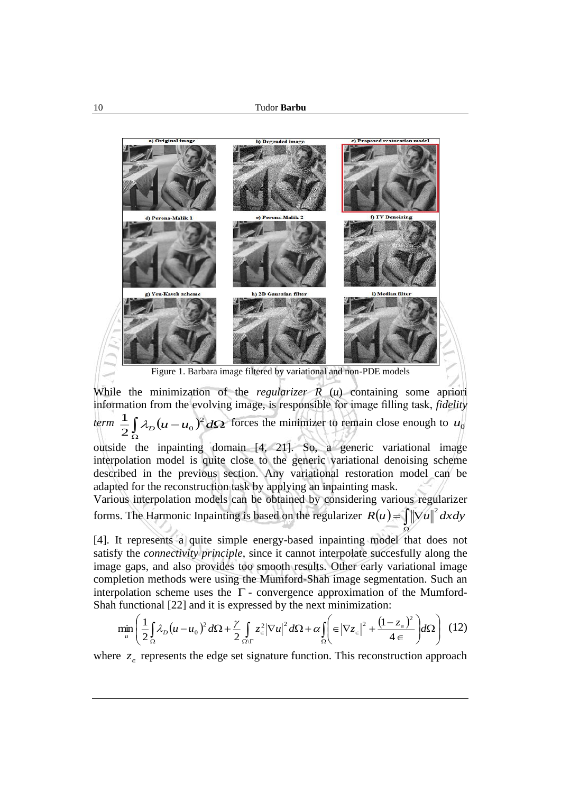

While the minimization of the *regularizer R* (*u*) containing some apriori information from the evolving image, is responsible for image filling task, *fidelity*   $\int_{0}^{1}$   $\int_{0}^{1}$   $\int_{0}^{1}$   $\int_{0}^{1}$   $(u - u_{0})^{2} d\Omega$ Ω  $2^{\int_{0}^{10}$  $\frac{1}{2} \int \lambda_D (u - u_0)^2 d\Omega$  forces the minimizer to remain close enough to  $u_0$ 

outside the inpainting domain [4, 21]. So, a generic variational image interpolation model is quite close to the generic variational denoising scheme described in the previous section. Any variational restoration model can be adapted for the reconstruction task by applying an inpainting mask.

Various interpolation models can be obtained by considering various regularizer forms. The Harmonic Inpainting is based on the regularizer  $R(u) = \int ||\nabla u||^2 dxdy$ Ω

[4]. It represents a quite simple energy-based inpainting model that does not satisfy the *connectivity principle*, since it cannot interpolate succesfully along the image gaps, and also provides too smooth results. Other early variational image completion methods were using the Mumford-Shah image segmentation. Such an interpolation scheme uses the  $\Gamma$  - convergence approximation of the Mumford-Shah functional [22] and it is expressed by the next minimization:

$$
\min_{u} \left( \frac{1}{2} \int_{\Omega} \lambda_D (u - u_0)^2 d\Omega + \frac{\gamma}{2} \int_{\Omega/\Gamma} z_{\epsilon}^2 |\nabla u|^2 d\Omega + \alpha \int_{\Omega} \left( \epsilon |\nabla z_{\epsilon}|^2 + \frac{(1 - z_{\epsilon})^2}{4 \epsilon} \right) d\Omega \right) (12)
$$

where  $z_{\epsilon}$  represents the edge set signature function. This reconstruction approach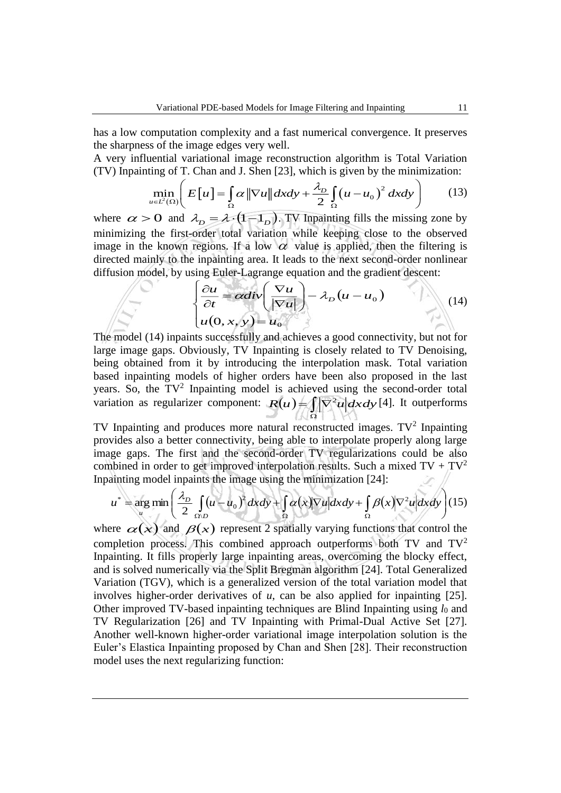has a low computation complexity and a fast numerical convergence. It preserves the sharpness of the image edges very well.

A very influential variational image reconstruction algorithm is Total Variation (TV) Inpainting of T. Chan and J. Shen [23], which is given by the minimization:

$$
\min_{u \in L^{2}(\Omega)} \left( E\left[u\right] = \int_{\Omega} \alpha \|\nabla u\| dxdy + \frac{\lambda_{D}}{2} \int_{\Omega} \left(u - u_{0}\right)^{2} dxdy \right) \tag{13}
$$

where  $\alpha > 0$  and  $\lambda_D = \lambda \cdot (1 - 1_D)$ . TV Inpainting fills the missing zone by minimizing the first-order total variation while keeping close to the observed image in the known regions. If a low  $\alpha$  value is applied, then the filtering is directed mainly to the inpainting area. It leads to the next second-order nonlinear diffusion model, by using Euler-Lagrange equation and the gradient descent:

$$
\begin{cases} \frac{\partial u}{\partial t} = \alpha \operatorname{div} \left( \frac{\nabla u}{|\nabla u|} \right) - \lambda_D (u - u_0) \\ u(0, x, y) = u_0 \end{cases}
$$
(14)

The model (14) inpaints successfully and achieves a good connectivity, but not for large image gaps. Obviously, TV Inpainting is closely related to TV Denoising, being obtained from it by introducing the interpolation mask. Total variation based inpainting models of higher orders have been also proposed in the last years. So, the  $TV^2$  Inpainting model is achieved using the second-order total variation as regularizer component:  $R(u) = \int_{\Omega}$  $R(u) = \int |\nabla^2 u| dxdy$  [4]. It outperforms

TV Inpainting and produces more natural reconstructed images.  $TV^2$  Inpainting provides also a better connectivity, being able to interpolate properly along large image gaps. The first and the second-order TV regularizations could be also combined in order to get improved interpolation results. Such a mixed  $TV + TV^2$ Inpainting model inpaints the image using the minimization [24]:

$$
u^* = \underset{u}{\arg\min} \left( \frac{\lambda_D}{2} \int_{\Omega/D} (u - u_0)^2 dx dy + \int_{\Omega} \alpha(x) |\nabla u| dx dy + \int_{\Omega} \beta(x) |\nabla^2 u| dx dy \right) (15)
$$

where  $\alpha(x)$  and  $\beta(x)$  represent 2 spatially varying functions that control the completion process. This combined approach outperforms both TV and  $TV<sup>2</sup>$ Inpainting. It fills properly large inpainting areas, overcoming the blocky effect, and is solved numerically via the Split Bregman algorithm [24]. Total Generalized Variation (TGV), which is a generalized version of the total variation model that involves higher-order derivatives of *u*, can be also applied for inpainting [25]. Other improved TV-based inpainting techniques are Blind Inpainting using  $l_0$  and TV Regularization [26] and TV Inpainting with Primal-Dual Active Set [27]. Another well-known higher-order variational image interpolation solution is the Euler's Elastica Inpainting proposed by Chan and Shen [28]. Their reconstruction model uses the next regularizing function: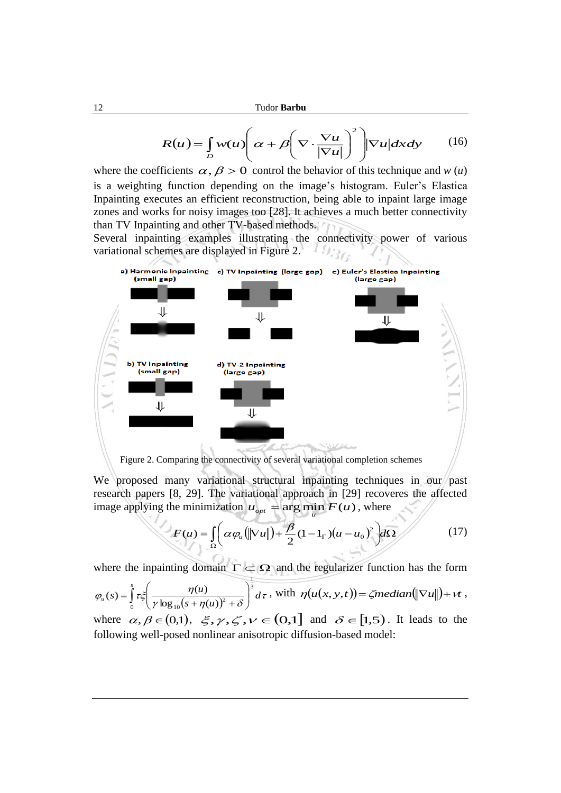$$
R(u) = \int_{D} w(u) \left( \alpha + \beta \left( \nabla \cdot \frac{\nabla u}{|\nabla u|} \right)^2 \right) |\nabla u| dx dy \qquad (16)
$$

where the coefficients  $\alpha$ ,  $\beta > 0$  control the behavior of this technique and *w* (*u*) is a weighting function depending on the image's histogram. Euler's Elastica Inpainting executes an efficient reconstruction, being able to inpaint large image zones and works for noisy images too [28]. It achieves a much better connectivity than TV Inpainting and other TV-based methods.

Several inpainting examples illustrating the connectivity power of various variational schemes are displayed in Figure 2.



Figure 2. Comparing the connectivity of several variational completion schemes

We proposed many variational structural inpainting techniques in our past research papers [8, 29]. The variational approach in [29] recoveres the affected image applying the minimization  $u_{opt}$  = arg min  $F(u)$ , where

$$
F(u) = \int_{\Omega} \left( \alpha \varphi_u \left( \left\| \nabla u \right\| \right) + \frac{\beta}{2} (1 - 1_\Gamma) (u - u_0)^2 \right) d\Omega \tag{17}
$$

*u*

where the inpainting domain  $\Gamma \subset \Omega$  and the regularizer function has the form

1

$$
\varphi_u(s) = \int_0^s \tau \xi \left( \frac{\eta(u)}{\gamma \log_{10}(s + \eta(u))^2 + \delta} \right)^3 d\tau, \text{ with } \eta(u(x, y, t)) = \zeta \text{median}(\|\nabla u\|) + \nu t,
$$

where  $\alpha, \beta \in (0,1)$ ,  $\xi, \gamma, \zeta, \nu \in (0,1]$  and  $\delta \in [1,5)$ . It leads to the following well-posed nonlinear anisotropic diffusion-based model: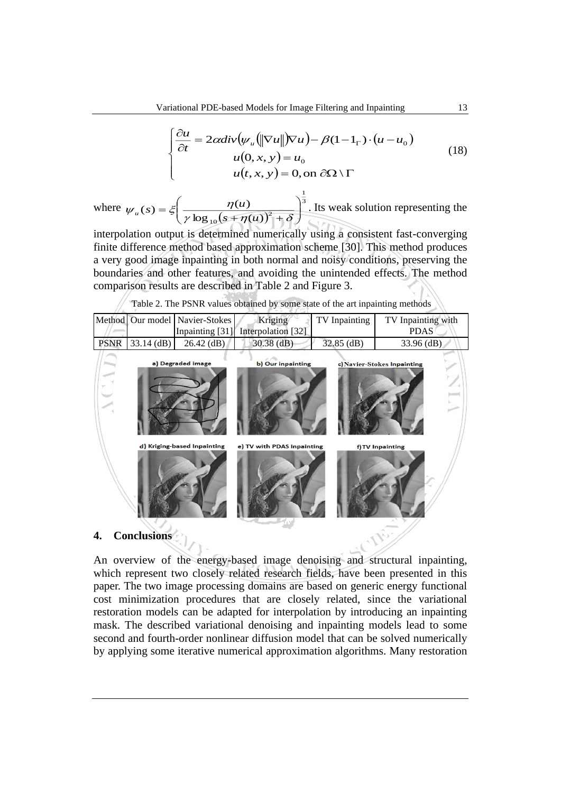$$
\begin{cases}\n\frac{\partial u}{\partial t} = 2\alpha \operatorname{div}\left(\psi_u \left(\|\nabla u\| \right) \nabla u\right) - \beta (1 - 1_\Gamma) \cdot \left(u - u_0\right) \\
u(0, x, y) = u_0 \\
u(t, x, y) = 0, \text{ on } \partial\Omega \setminus \Gamma\n\end{cases} (18)
$$

where  $(s + \eta(u))$ 3 1  $\log_{10}(s + \eta(u))^2$  $(s) = \xi \frac{\eta(u)}{u}$  $\overline{\phantom{a}}$  $\overline{\phantom{a}}$  $\overline{\phantom{a}}$ ो  $\overline{\phantom{a}}$  $\setminus$ ſ  $-\frac{2}{\gamma}\left(\frac{1}{\gamma\log_{10}(s+\eta(u))^{2}+\delta}\right)$  $\psi_u(s) = \xi \frac{\eta(u)}{\gamma \log_{10}(s + \eta(u))}$  $u(s) = \xi$   $\frac{\eta(u)}{1 - (1 - s)^2}$ . Its weak solution representing the

interpolation output is determined numerically using a consistent fast-converging finite difference method based approximation scheme [30]. This method produces a very good image inpainting in both normal and noisy conditions, preserving the boundaries and other features, and avoiding the unintended effects. The method comparison results are described in Table 2 and Figure 3.

Table 2. The PSNR values obtained by some state of the art inpainting methods

|             | Method Our model   | Navier-Stokes               | Kriging                    | TV Inpainting | TV Inpainting with          |  |
|-------------|--------------------|-----------------------------|----------------------------|---------------|-----------------------------|--|
|             |                    | Inpainting [31]             | Interpolation [32]         |               | <b>PDAS</b>                 |  |
| <b>PSNR</b> | $33.14$ (dB)       | $26.42$ (dB)                | $30.38$ (dB)               | 32.85 (dB)    | 33.96 (dB)                  |  |
|             |                    | a) Degraded image           | b) Our inpainting          |               | c) Navier-Stokes Inpainting |  |
|             |                    | d) Kriging-based Inpainting | e) TV with PDAS Inpainting |               | f) TV Inpainting            |  |
| 4           | <b>Conclusions</b> |                             |                            |               |                             |  |

**4. Conclusions**

An overview of the energy-based image denoising and structural inpainting, which represent two closely related research fields, have been presented in this paper. The two image processing domains are based on generic energy functional cost minimization procedures that are closely related, since the variational restoration models can be adapted for interpolation by introducing an inpainting mask. The described variational denoising and inpainting models lead to some second and fourth-order nonlinear diffusion model that can be solved numerically by applying some iterative numerical approximation algorithms. Many restoration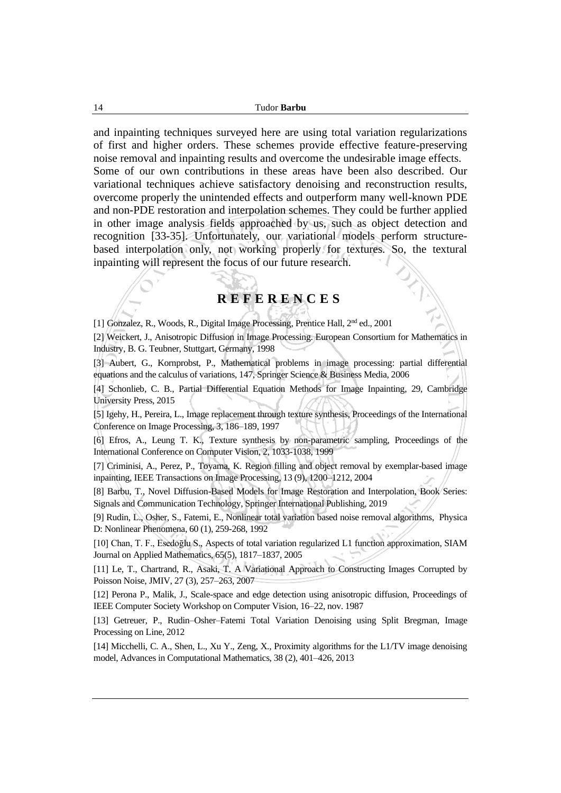and inpainting techniques surveyed here are using total variation regularizations of first and higher orders. These schemes provide effective feature-preserving noise removal and inpainting results and overcome the undesirable image effects. Some of our own contributions in these areas have been also described. Our variational techniques achieve satisfactory denoising and reconstruction results, overcome properly the unintended effects and outperform many well-known PDE and non-PDE restoration and interpolation schemes. They could be further applied in other image analysis fields approached by us, such as object detection and recognition [33-35]. Unfortunately, our variational models perform structurebased interpolation only, not working properly for textures. So, the textural inpainting will represent the focus of our future research.

## **R E F E R E N C E S**

[1] Gonzalez, R., Woods, R., Digital Image Processing, Prentice Hall, 2nd ed., 2001

[2] Weickert, J., Anisotropic Diffusion in Image Processing. European Consortium for Mathematics in Industry, B. G. Teubner, Stuttgart, Germany, 1998

[3] Aubert, G., Kornprobst, P., Mathematical problems in image processing: partial differential equations and the calculus of variations, 147, Springer Science & Business Media, 2006

[4] Schonlieb, C. B., Partial Differential Equation Methods for Image Inpainting, 29, Cambridge University Press, 2015

[5] Igehy, H., Pereira, L., Image replacement through texture synthesis, Proceedings of the International Conference on Image Processing, 3, 186–189, 1997

[6] Efros, A., Leung T. K., Texture synthesis by non-parametric sampling, Proceedings of the International Conference on Computer Vision, 2, 1033-1038, 1999

[7] Criminisi, A., Perez, P., Toyama, K. Region filling and object removal by exemplar-based image inpainting, IEEE Transactions on Image Processing, 13 (9), 1200–1212, 2004

[8] Barbu, T., Novel Diffusion-Based Models for Image Restoration and Interpolation, Book Series: Signals and Communication Technology, Springer International Publishing, 2019

[9] Rudin, L., Osher, S., Fatemi, E., Nonlinear total variation based noise removal algorithms, Physica D: Nonlinear Phenomena, 60 (1), 259-268, 1992

[10] Chan, T. F., Esedoḡlu S., Aspects of total variation regularized L1 function approximation, SIAM Journal on Applied Mathematics, 65(5), 1817–1837, 2005

[11] Le, T., Chartrand, R., Asaki, T. A Variational Approach to Constructing Images Corrupted by Poisson Noise, JMIV, 27 (3), 257–263, 2007

[12] Perona P., Malik, J., Scale-space and edge detection using anisotropic diffusion, Proceedings of IEEE Computer Society Workshop on Computer Vision, 16–22, nov. 1987

[13] Getreuer, P., Rudin–Osher–Fatemi Total Variation Denoising using Split Bregman, Image Processing on Line, 2012

[14] Micchelli, C. A., Shen, L., Xu Y., Zeng, X., Proximity algorithms for the L1/TV image denoising model, Advances in Computational Mathematics, 38 (2), 401–426, 2013